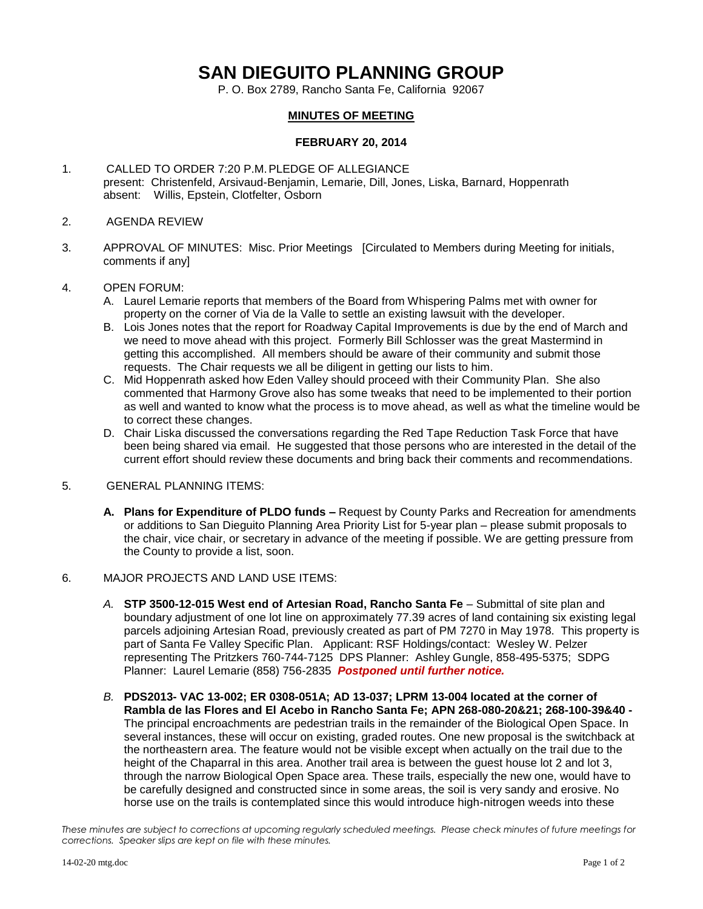# **SAN DIEGUITO PLANNING GROUP**

P. O. Box 2789, Rancho Santa Fe, California 92067

## **MINUTES OF MEETING**

## **FEBRUARY 20, 2014**

- 1. CALLED TO ORDER 7:20 P.M.PLEDGE OF ALLEGIANCE present: Christenfeld, Arsivaud-Benjamin, Lemarie, Dill, Jones, Liska, Barnard, Hoppenrath absent: Willis, Epstein, Clotfelter, Osborn
- 2. AGENDA REVIEW
- 3. APPROVAL OF MINUTES: Misc. Prior Meetings [Circulated to Members during Meeting for initials, comments if any]

### 4. OPEN FORUM:

- A. Laurel Lemarie reports that members of the Board from Whispering Palms met with owner for property on the corner of Via de la Valle to settle an existing lawsuit with the developer.
- B. Lois Jones notes that the report for Roadway Capital Improvements is due by the end of March and we need to move ahead with this project. Formerly Bill Schlosser was the great Mastermind in getting this accomplished. All members should be aware of their community and submit those requests. The Chair requests we all be diligent in getting our lists to him.
- C. Mid Hoppenrath asked how Eden Valley should proceed with their Community Plan. She also commented that Harmony Grove also has some tweaks that need to be implemented to their portion as well and wanted to know what the process is to move ahead, as well as what the timeline would be to correct these changes.
- D. Chair Liska discussed the conversations regarding the Red Tape Reduction Task Force that have been being shared via email. He suggested that those persons who are interested in the detail of the current effort should review these documents and bring back their comments and recommendations.

## 5. GENERAL PLANNING ITEMS:

**A. Plans for Expenditure of PLDO funds –** Request by County Parks and Recreation for amendments or additions to San Dieguito Planning Area Priority List for 5-year plan – please submit proposals to the chair, vice chair, or secretary in advance of the meeting if possible. We are getting pressure from the County to provide a list, soon.

#### 6. MAJOR PROJECTS AND LAND USE ITEMS:

- *A.* **STP 3500-12-015 West end of Artesian Road, Rancho Santa Fe** Submittal of site plan and boundary adjustment of one lot line on approximately 77.39 acres of land containing six existing legal parcels adjoining Artesian Road, previously created as part of PM 7270 in May 1978. This property is part of Santa Fe Valley Specific Plan.Applicant: RSF Holdings/contact: Wesley W. Pelzer representing The Pritzkers 760-744-7125 DPS Planner: Ashley Gungle, 858-495-5375; SDPG Planner: Laurel Lemarie (858) 756-2835 *Postponed until further notice.*
- *B.* **PDS2013- VAC 13-002; ER 0308-051A; AD 13-037; LPRM 13-004 located at the corner of Rambla de las Flores and El Acebo in Rancho Santa Fe; APN 268-080-20&21; 268-100-39&40 -** The principal encroachments are pedestrian trails in the remainder of the Biological Open Space. In several instances, these will occur on existing, graded routes. One new proposal is the switchback at the northeastern area. The feature would not be visible except when actually on the trail due to the height of the Chaparral in this area. Another trail area is between the guest house lot 2 and lot 3, through the narrow Biological Open Space area. These trails, especially the new one, would have to be carefully designed and constructed since in some areas, the soil is very sandy and erosive. No horse use on the trails is contemplated since this would introduce high-nitrogen weeds into these

*These minutes are subject to corrections at upcoming regularly scheduled meetings. Please check minutes of future meetings for corrections. Speaker slips are kept on file with these minutes.*